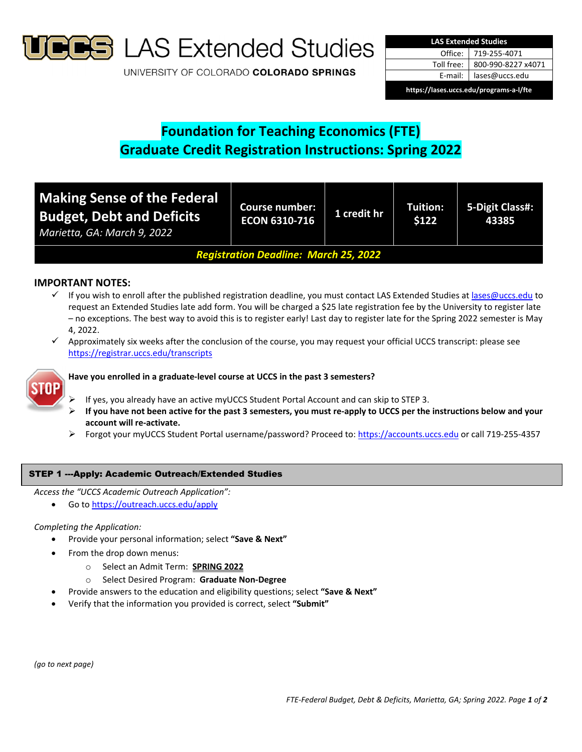

**S** LAS Extended Studies

UNIVERSITY OF COLORADO COLORADO SPRINGS

| <b>LAS Extended Studies</b>             |                    |  |  |  |
|-----------------------------------------|--------------------|--|--|--|
| Office:                                 | 719-255-4071       |  |  |  |
| Toll free:                              | 800-990-8227 x4071 |  |  |  |
| E-mail:                                 | lases@uccs.edu     |  |  |  |
| https://lases.uccs.edu/programs-a-l/fte |                    |  |  |  |

# **Foundation for Teaching Economics (FTE) Graduate Credit Registration Instructions: Spring 2022**

| <b>Making Sense of the Federal</b><br><b>Budget, Debt and Deficits</b><br>Marietta, GA: March 9, 2022 | <b>Course number:</b><br><b>ECON 6310-716</b> | 1 credit hr | Tuition:<br>\$122 | 5-Digit Class#:<br>43385 |
|-------------------------------------------------------------------------------------------------------|-----------------------------------------------|-------------|-------------------|--------------------------|
| <b>Registration Deadline: March 25, 2022</b>                                                          |                                               |             |                   |                          |

# **IMPORTANT NOTES:**

- $\checkmark$  If you wish to enroll after the published registration deadline, you must contact LAS Extended Studies at lases@uccs.edu to request an Extended Studies late add form. You will be charged a \$25 late registration fee by the University to register late – no exceptions. The best way to avoid this is to register early! Last day to register late for the Spring 2022 semester is May 4, 2022.
- $\checkmark$  Approximately six weeks after the conclusion of the course, you may request your official UCCS transcript: please see https://registrar.uccs.edu/transcripts



## **Have you enrolled in a graduate‐level course at UCCS in the past 3 semesters?**

- If yes, you already have an active myUCCS Student Portal Account and can skip to STEP 3.
- If you have not been active for the past 3 semesters, you must re-apply to UCCS per the instructions below and your **account will re‐activate.**
- Forgot your myUCCS Student Portal username/password? Proceed to: https://accounts.uccs.edu or call 719‐255‐4357

#### STEP 1 ---Apply: Academic Outreach/Extended Studies

*Access the "UCCS Academic Outreach Application":*

Go to https://outreach.uccs.edu/apply

#### *Completing the Application:*

- Provide your personal information; select **"Save & Next"**
- From the drop down menus:
	- o Select an Admit Term: **SPRING 2022**
	- o Select Desired Program: **Graduate Non‐Degree**
	- Provide answers to the education and eligibility questions; select **"Save & Next"**
- Verify that the information you provided is correct, select **"Submit"**

*(go to next page)*